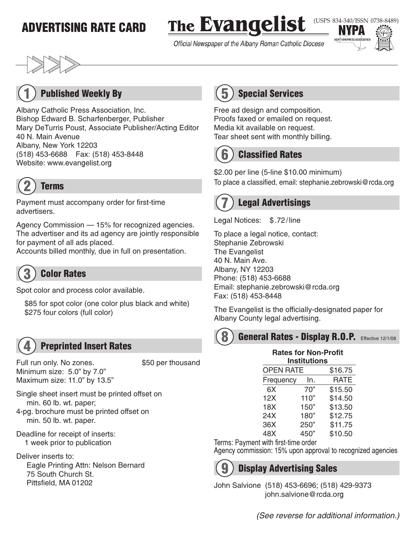## ADVERTISING RATE CARD

**The Evangelist** 

(USPS 834-340/ISSN 0738-8489)

Official Newspaper of the Albany Roman Catholic Diocese





#### **Published Weekly By**

Albany Catholic Press Association, Inc. Bishop Edward B. Scharfenberger, Publisher Mary DeTurris Poust, Associate Publisher/Acting Editor 40 N. Main Avenue Albany, New York 12203 (518) 453-6688 Fax: (518) 453-8448 Website: www.evangelist.org



Payment must accompany order for first-time advertisers.

Agency Commission – 15% for recognized agencies. The advertiser and its ad agency are jointly responsible for payment of all ads placed.

Accounts billed monthly, due in full on presentation.

# 3 Color Rates

Spot color and process color available.

\$85 for spot color (one color plus black and white) \$275 four colors (full color)

#### **Preprinted Insert Rates**

Full run only. No zones. \$50 per thousand Minimum size: 5.0" by 7.0" Maximum size: 11.0" by 13.5"

Single sheet insert must be printed offset on min. 60 lb. wt. paper; 4-pg. brochure must be printed offset on

Deadline for receipt of inserts: 1 week prior to publication

min. 50 lb. wt. paper.

Deliver inserts to: Eagle Printing Attn: Nelson Bernard 75 South Church St. Pittsfield, MA 01202

## 5 Special Services

Free ad design and composition. Proofs faxed or emailed on request. Media kit available on request. Tear sheet sent with monthly billing.

### **Classified Rates**

\$2.00 per line (5-line \$10.00 minimum) To place a classified, email: stephanie.zebrowski@rcda.org

## **Legal Advertisings**

Legal Notices: \$.72/line

To place a legal notice, contact: Stephanie Zebrowski The Evangelist 40 N. Main Ave. Albany, NY 12203 Phone: (518) 453-6688 Email: stephanie.zebrowski@rcda.org Fax: (518) 453-8448

The Evangelist is the officially-designated paper for Albany County legal advertising.

#### General Rates - Display R.O.P. **Effective 12/1/08**

| <b>Rates for Non-Profit</b><br><b>Institutions</b> |      |             |  |  |
|----------------------------------------------------|------|-------------|--|--|
| <b>OPEN RATE</b>                                   |      | \$16.75     |  |  |
| Frequency                                          | ln.  | <b>RATE</b> |  |  |
| 6X                                                 | 70"  | \$15.50     |  |  |
| 12X                                                | 110" | \$14.50     |  |  |
| 18X                                                | 150" | \$13.50     |  |  |
| 24X                                                | 180" | \$12.75     |  |  |
| 36X                                                | 250" | \$11.75     |  |  |
| 48X                                                | 450" | \$10.50     |  |  |

Terms: Payment with first-time order

Agency commission: 15% upon approval to recognized agencies

#### **Display Advertising Sales**

John Salvione (518) 453-6696; (518) 429-9373 john.salvione@rcda.org